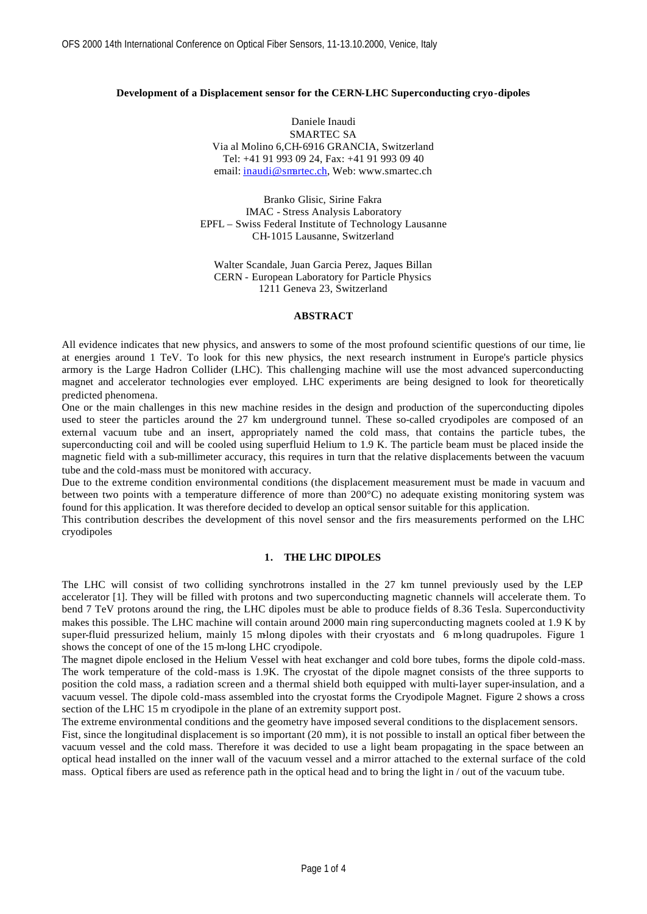### **Development of a Displacement sensor for the CERN-LHC Superconducting cryo-dipoles**

Daniele Inaudi SMARTEC SA Via al Molino 6,CH-6916 GRANCIA, Switzerland Tel: +41 91 993 09 24, Fax: +41 91 993 09 40 email: inaudi@smartec.ch, Web: www.smartec.ch

Branko Glisic, Sirine Fakra IMAC - Stress Analysis Laboratory EPFL – Swiss Federal Institute of Technology Lausanne CH-1015 Lausanne, Switzerland

Walter Scandale, Juan Garcia Perez, Jaques Billan CERN - European Laboratory for Particle Physics 1211 Geneva 23, Switzerland

### **ABSTRACT**

All evidence indicates that new physics, and answers to some of the most profound scientific questions of our time, lie at energies around 1 TeV. To look for this new physics, the next research instrument in Europe's particle physics armory is the Large Hadron Collider (LHC). This challenging machine will use the most advanced superconducting magnet and accelerator technologies ever employed. LHC experiments are being designed to look for theoretically predicted phenomena.

One or the main challenges in this new machine resides in the design and production of the superconducting dipoles used to steer the particles around the 27 km underground tunnel. These so-called cryodipoles are composed of an external vacuum tube and an insert, appropriately named the cold mass, that contains the particle tubes, the superconducting coil and will be cooled using superfluid Helium to 1.9 K. The particle beam must be placed inside the magnetic field with a sub-millimeter accuracy, this requires in turn that the relative displacements between the vacuum tube and the cold-mass must be monitored with accuracy.

Due to the extreme condition environmental conditions (the displacement measurement must be made in vacuum and between two points with a temperature difference of more than 200°C) no adequate existing monitoring system was found for this application. It was therefore decided to develop an optical sensor suitable for this application.

This contribution describes the development of this novel sensor and the firs measurements performed on the LHC cryodipoles

#### **1. THE LHC DIPOLES**

The LHC will consist of two colliding synchrotrons installed in the 27 km tunnel previously used by the LEP accelerator [1]. They will be filled with protons and two superconducting magnetic channels will accelerate them. To bend 7 TeV protons around the ring, the LHC dipoles must be able to produce fields of 8.36 Tesla. Superconductivity makes this possible. The LHC machine will contain around 2000 main ring superconducting magnets cooled at 1.9 K by super-fluid pressurized helium, mainly 15 mlong dipoles with their cryostats and 6 mlong quadrupoles. Figure 1 shows the concept of one of the 15 m-long LHC cryodipole.

The magnet dipole enclosed in the Helium Vessel with heat exchanger and cold bore tubes, forms the dipole cold-mass. The work temperature of the cold-mass is 1.9K. The cryostat of the dipole magnet consists of the three supports to position the cold mass, a radiation screen and a thermal shield both equipped with multi-layer super-insulation, and a vacuum vessel. The dipole cold-mass assembled into the cryostat forms the Cryodipole Magnet. Figure 2 shows a cross section of the LHC 15 m cryodipole in the plane of an extremity support post.

The extreme environmental conditions and the geometry have imposed several conditions to the displacement sensors. Fist, since the longitudinal displacement is so important (20 mm), it is not possible to install an optical fiber between the vacuum vessel and the cold mass. Therefore it was decided to use a light beam propagating in the space between an optical head installed on the inner wall of the vacuum vessel and a mirror attached to the external surface of the cold mass. Optical fibers are used as reference path in the optical head and to bring the light in / out of the vacuum tube.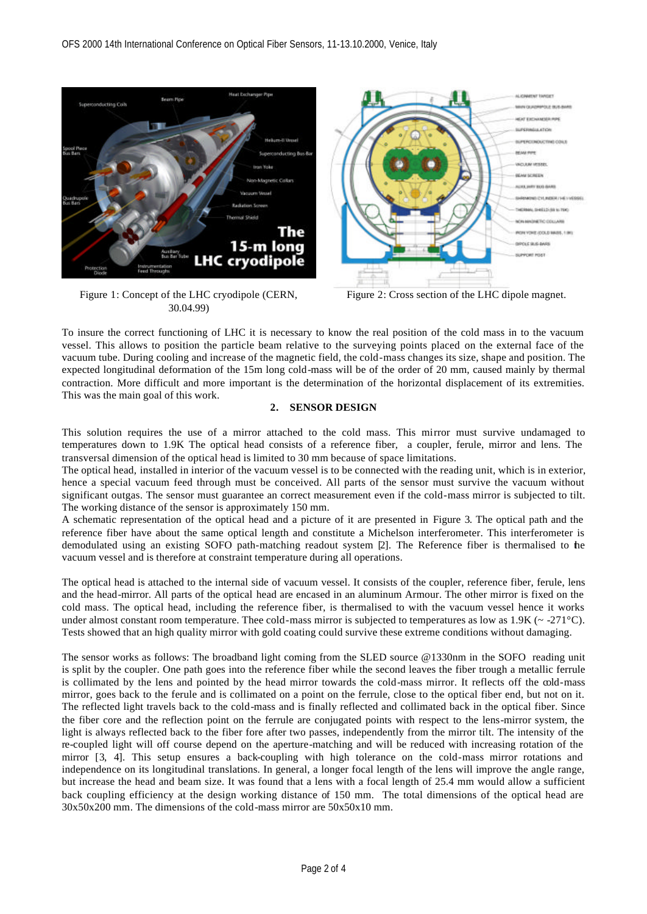

Figure 1: Concept of the LHC cryodipole (CERN, 30.04.99)



Figure 2: Cross section of the LHC dipole magnet.

To insure the correct functioning of LHC it is necessary to know the real position of the cold mass in to the vacuum vessel. This allows to position the particle beam relative to the surveying points placed on the external face of the vacuum tube. During cooling and increase of the magnetic field, the cold-mass changes its size, shape and position. The expected longitudinal deformation of the 15m long cold-mass will be of the order of 20 mm, caused mainly by thermal contraction. More difficult and more important is the determination of the horizontal displacement of its extremities. This was the main goal of this work.

# **2. SENSOR DESIGN**

This solution requires the use of a mirror attached to the cold mass. This mirror must survive undamaged to temperatures down to 1.9K The optical head consists of a reference fiber, a coupler, ferule, mirror and lens. The transversal dimension of the optical head is limited to 30 mm because of space limitations.

The optical head, installed in interior of the vacuum vessel is to be connected with the reading unit, which is in exterior, hence a special vacuum feed through must be conceived. All parts of the sensor must survive the vacuum without significant outgas. The sensor must guarantee an correct measurement even if the cold-mass mirror is subjected to tilt. The working distance of the sensor is approximately 150 mm.

A schematic representation of the optical head and a picture of it are presented in Figure 3. The optical path and the reference fiber have about the same optical length and constitute a Michelson interferometer. This interferometer is demodulated using an existing SOFO path-matching readout system [2]. The Reference fiber is thermalised to the vacuum vessel and is therefore at constraint temperature during all operations.

The optical head is attached to the internal side of vacuum vessel. It consists of the coupler, reference fiber, ferule, lens and the head-mirror. All parts of the optical head are encased in an aluminum Armour. The other mirror is fixed on the cold mass. The optical head, including the reference fiber, is thermalised to with the vacuum vessel hence it works under almost constant room temperature. Thee cold-mass mirror is subjected to temperatures as low as  $1.9K \left( \sim 271 \degree C \right)$ . Tests showed that an high quality mirror with gold coating could survive these extreme conditions without damaging.

The sensor works as follows: The broadband light coming from the SLED source @1330nm in the SOFO reading unit is split by the coupler. One path goes into the reference fiber while the second leaves the fiber trough a metallic ferrule is collimated by the lens and pointed by the head mirror towards the cold-mass mirror. It reflects off the cold-mass mirror, goes back to the ferule and is collimated on a point on the ferrule, close to the optical fiber end, but not on it. The reflected light travels back to the cold-mass and is finally reflected and collimated back in the optical fiber. Since the fiber core and the reflection point on the ferrule are conjugated points with respect to the lens-mirror system, the light is always reflected back to the fiber fore after two passes, independently from the mirror tilt. The intensity of the re-coupled light will off course depend on the aperture-matching and will be reduced with increasing rotation of the mirror [3, 4]. This setup ensures a back-coupling with high tolerance on the cold-mass mirror rotations and independence on its longitudinal translations. In general, a longer focal length of the lens will improve the angle range, but increase the head and beam size. It was found that a lens with a focal length of 25.4 mm would allow a sufficient back coupling efficiency at the design working distance of 150 mm. The total dimensions of the optical head are 30x50x200 mm. The dimensions of the cold-mass mirror are 50x50x10 mm.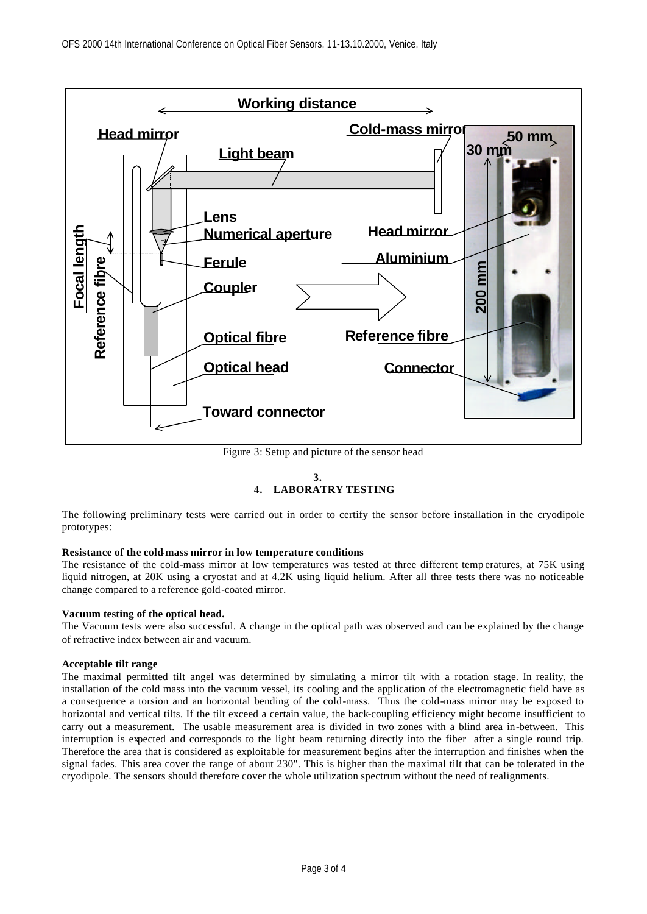

Figure 3: Setup and picture of the sensor head

### **3. 4. LABORATRY TESTING**

The following preliminary tests were carried out in order to certify the sensor before installation in the cryodipole prototypes:

## **Resistance of the cold-mass mirror in low temperature conditions**

The resistance of the cold-mass mirror at low temperatures was tested at three different temp eratures, at 75K using liquid nitrogen, at 20K using a cryostat and at 4.2K using liquid helium. After all three tests there was no noticeable change compared to a reference gold-coated mirror.

# **Vacuum testing of the optical head.**

The Vacuum tests were also successful. A change in the optical path was observed and can be explained by the change of refractive index between air and vacuum.

# **Acceptable tilt range**

The maximal permitted tilt angel was determined by simulating a mirror tilt with a rotation stage. In reality, the installation of the cold mass into the vacuum vessel, its cooling and the application of the electromagnetic field have as a consequence a torsion and an horizontal bending of the cold-mass. Thus the cold-mass mirror may be exposed to horizontal and vertical tilts. If the tilt exceed a certain value, the back-coupling efficiency might become insufficient to carry out a measurement. The usable measurement area is divided in two zones with a blind area in-between. This interruption is expected and corresponds to the light beam returning directly into the fiber after a single round trip. Therefore the area that is considered as exploitable for measurement begins after the interruption and finishes when the signal fades. This area cover the range of about 230". This is higher than the maximal tilt that can be tolerated in the cryodipole. The sensors should therefore cover the whole utilization spectrum without the need of realignments.